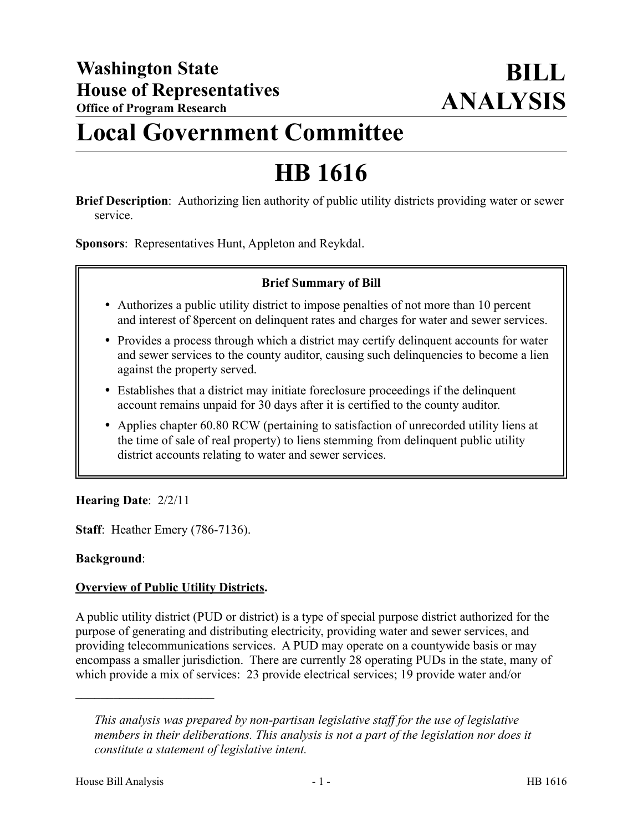# **Local Government Committee**

# **HB 1616**

**Brief Description**: Authorizing lien authority of public utility districts providing water or sewer service.

**Sponsors**: Representatives Hunt, Appleton and Reykdal.

#### **Brief Summary of Bill**

- Authorizes a public utility district to impose penalties of not more than 10 percent and interest of 8percent on delinquent rates and charges for water and sewer services.
- Provides a process through which a district may certify delinquent accounts for water and sewer services to the county auditor, causing such delinquencies to become a lien against the property served.
- Establishes that a district may initiate foreclosure proceedings if the delinquent account remains unpaid for 30 days after it is certified to the county auditor.
- Applies chapter 60.80 RCW (pertaining to satisfaction of unrecorded utility liens at the time of sale of real property) to liens stemming from delinquent public utility district accounts relating to water and sewer services.

## **Hearing Date**: 2/2/11

**Staff**: Heather Emery (786-7136).

#### **Background**:

#### **Overview of Public Utility Districts.**

A public utility district (PUD or district) is a type of special purpose district authorized for the purpose of generating and distributing electricity, providing water and sewer services, and providing telecommunications services. A PUD may operate on a countywide basis or may encompass a smaller jurisdiction. There are currently 28 operating PUDs in the state, many of which provide a mix of services: 23 provide electrical services; 19 provide water and/or

––––––––––––––––––––––

*This analysis was prepared by non-partisan legislative staff for the use of legislative members in their deliberations. This analysis is not a part of the legislation nor does it constitute a statement of legislative intent.*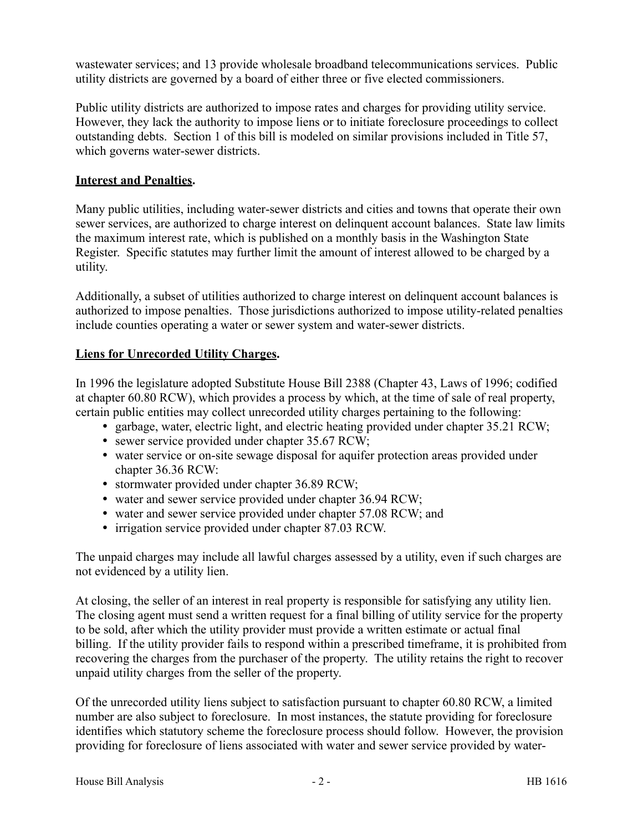wastewater services; and 13 provide wholesale broadband telecommunications services. Public utility districts are governed by a board of either three or five elected commissioners.

Public utility districts are authorized to impose rates and charges for providing utility service. However, they lack the authority to impose liens or to initiate foreclosure proceedings to collect outstanding debts. Section 1 of this bill is modeled on similar provisions included in Title 57, which governs water-sewer districts.

#### **Interest and Penalties.**

Many public utilities, including water-sewer districts and cities and towns that operate their own sewer services, are authorized to charge interest on delinquent account balances. State law limits the maximum interest rate, which is published on a monthly basis in the Washington State Register. Specific statutes may further limit the amount of interest allowed to be charged by a utility.

Additionally, a subset of utilities authorized to charge interest on delinquent account balances is authorized to impose penalties. Those jurisdictions authorized to impose utility-related penalties include counties operating a water or sewer system and water-sewer districts.

#### **Liens for Unrecorded Utility Charges.**

In 1996 the legislature adopted Substitute House Bill 2388 (Chapter 43, Laws of 1996; codified at chapter 60.80 RCW), which provides a process by which, at the time of sale of real property, certain public entities may collect unrecorded utility charges pertaining to the following:

- garbage, water, electric light, and electric heating provided under chapter 35.21 RCW;
- sewer service provided under chapter 35.67 RCW;
- water service or on-site sewage disposal for aquifer protection areas provided under chapter 36.36 RCW:
- stormwater provided under chapter 36.89 RCW;
- water and sewer service provided under chapter 36.94 RCW;
- water and sewer service provided under chapter 57.08 RCW; and
- irrigation service provided under chapter 87.03 RCW.

The unpaid charges may include all lawful charges assessed by a utility, even if such charges are not evidenced by a utility lien.

At closing, the seller of an interest in real property is responsible for satisfying any utility lien. The closing agent must send a written request for a final billing of utility service for the property to be sold, after which the utility provider must provide a written estimate or actual final billing. If the utility provider fails to respond within a prescribed timeframe, it is prohibited from recovering the charges from the purchaser of the property. The utility retains the right to recover unpaid utility charges from the seller of the property.

Of the unrecorded utility liens subject to satisfaction pursuant to chapter 60.80 RCW, a limited number are also subject to foreclosure. In most instances, the statute providing for foreclosure identifies which statutory scheme the foreclosure process should follow. However, the provision providing for foreclosure of liens associated with water and sewer service provided by water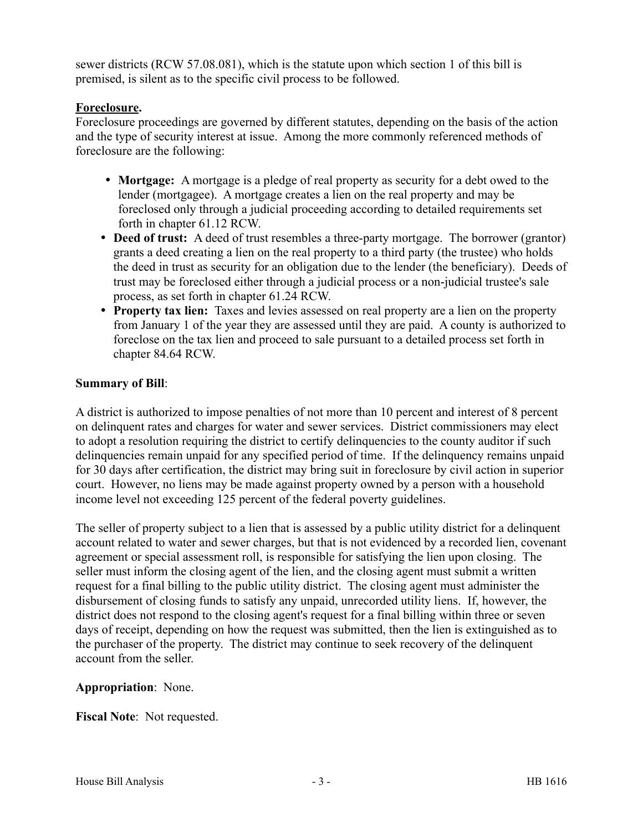sewer districts (RCW 57.08.081), which is the statute upon which section 1 of this bill is premised, is silent as to the specific civil process to be followed.

#### **Foreclosure.**

Foreclosure proceedings are governed by different statutes, depending on the basis of the action and the type of security interest at issue. Among the more commonly referenced methods of foreclosure are the following:

- **Mortgage:** A mortgage is a pledge of real property as security for a debt owed to the lender (mortgagee). A mortgage creates a lien on the real property and may be foreclosed only through a judicial proceeding according to detailed requirements set forth in chapter 61.12 RCW.
- **Deed of trust:** A deed of trust resembles a three-party mortgage. The borrower (grantor) grants a deed creating a lien on the real property to a third party (the trustee) who holds the deed in trust as security for an obligation due to the lender (the beneficiary). Deeds of trust may be foreclosed either through a judicial process or a non-judicial trustee's sale process, as set forth in chapter 61.24 RCW.
- **Property tax lien:** Taxes and levies assessed on real property are a lien on the property from January 1 of the year they are assessed until they are paid. A county is authorized to foreclose on the tax lien and proceed to sale pursuant to a detailed process set forth in chapter 84.64 RCW.

## **Summary of Bill**:

A district is authorized to impose penalties of not more than 10 percent and interest of 8 percent on delinquent rates and charges for water and sewer services. District commissioners may elect to adopt a resolution requiring the district to certify delinquencies to the county auditor if such delinquencies remain unpaid for any specified period of time. If the delinquency remains unpaid for 30 days after certification, the district may bring suit in foreclosure by civil action in superior court. However, no liens may be made against property owned by a person with a household income level not exceeding 125 percent of the federal poverty guidelines.

The seller of property subject to a lien that is assessed by a public utility district for a delinquent account related to water and sewer charges, but that is not evidenced by a recorded lien, covenant agreement or special assessment roll, is responsible for satisfying the lien upon closing. The seller must inform the closing agent of the lien, and the closing agent must submit a written request for a final billing to the public utility district. The closing agent must administer the disbursement of closing funds to satisfy any unpaid, unrecorded utility liens. If, however, the district does not respond to the closing agent's request for a final billing within three or seven days of receipt, depending on how the request was submitted, then the lien is extinguished as to the purchaser of the property. The district may continue to seek recovery of the delinquent account from the seller.

## **Appropriation**: None.

**Fiscal Note**: Not requested.